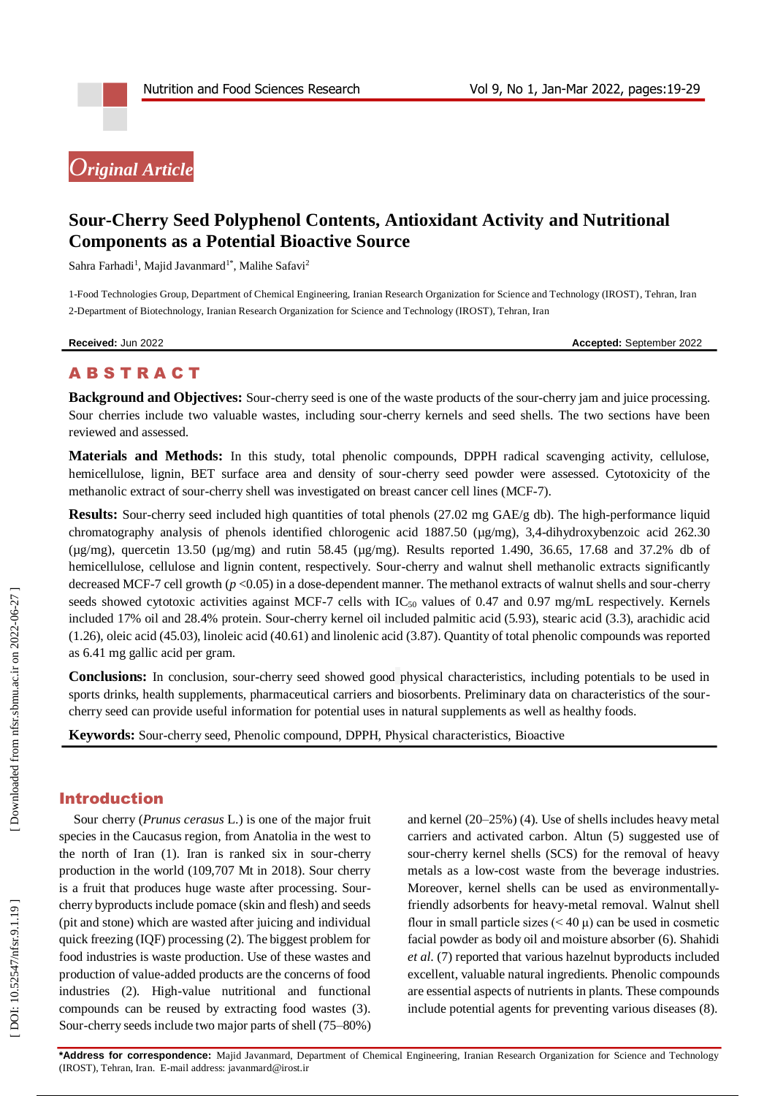# *Original Article*

# **Sour -Cherry Seed Polyphenol Contents, Antioxidant Activity and Nutritional Components as a Potential Bioactive Source**

Sahra Farhadi<sup>1</sup>, Majid Javanmard<sup>1\*</sup>, Malihe Safavi<sup>2</sup>

1 -Food Technologies Group, Department of Chemical Engineering, Iranian Research Organization for Science and Technology (IROST), Tehran, Iran 2 -Department of Biotechnology, Iranian Research Organization for Science and Technology (IROST), Tehran, Iran

**Received:** Ju

n 2022 **Accepted:** September 2022

# **ABSTRACT**

Background and Objectives: Sour-cherry seed is one of the waste products of the sour-cherry jam and juice processing. Sour cherries include two valuable wastes, including sour -cherry kernels and seed shells. The two sections have been reviewed and assessed.

**Materials and Methods:** In this study, total phenolic compounds, DPPH radical scavenging activity, cellulose, hemicellulose, lignin, BET surface area and density of sour -cherry seed powder were assessed. Cytotoxicity of the methanolic extract of sour-cherry shell was investigated on breast cancer cell lines (MCF-7).

Results: Sour-cherry seed included high quantities of total phenols (27.02 mg GAE/g db). The high-performance liquid chromatography analysis of phenols identified chlorogenic acid 1887.50 (µg/mg), 3,4-dihydroxybenzoic acid 262.30 ( $\mu$ g/mg), quercetin 13.50 ( $\mu$ g/mg) and rutin 58.45 ( $\mu$ g/mg). Results reported 1.490, 36.65, 17.68 and 37.2% db of hemicellulose, cellulose and lignin content, respectively. Sour -cherry and walnut shell methanolic extracts significantly decreased MCF-7 cell growth ( $p < 0.05$ ) in a dose-dependent manner. The methanol extracts of walnut shells and sour-cherry seeds showed cytotoxic activities against MCF-7 cells with  $IC_{50}$  values of 0.47 and 0.97 mg/mL respectively. Kernels included 17% oil and 28.4% protein. Sour -cherry kernel oil included palmitic acid (5.93), stearic acid (3.3), arachidic acid (1.26), oleic acid (45.03), linoleic acid (40.61) and linolenic acid (3.87). Quantity of total phenolic compounds was reported as 6.41 mg gallic acid per gram.

Conclusions: In conclusion, sour-cherry seed showed good physical characteristics, including potentials to be used in sports drinks, health supplements, pharmaceutical carriers and biosorbents. Preliminary data on characteristics of the sour cherry seed can provide useful information for potential uses in natural supplements as well as healthy foods.

**Keywords:** Sour -cherry seed, Phenolic compound, DPPH, Physical characteristics, Bioactive

# Introduction

Sour cherry (*Prunus cerasus* L.) is one of the major fruit species in the Caucasus region, from Anatolia in the west to the north of Iran (1). Iran is ranked six in sour -cherry production in the world (109,707 Mt in 2018). Sour cherry is a fruit that produces huge waste after processing. Sour cherry byproducts include pomace (skin and flesh) and seeds (pit and stone) which are wasted after juicing and individual quick freezing (IQF) processing (2). The biggest problem for food industries is waste production. Use of these wastes and production of value -added products are the concerns of food industries (2). High -value nutritional and functional compounds can be reused by extracting food wastes (3). Sour -cherry seeds include two major parts of shell (75 –80%)

and kernel (20 –25%) (4). Use of shells includes heavy metal carriers and activated carbon. Altun (5) suggested use of sour -cherry kernel shells (SCS) for the removal of heavy metals as a low -cost waste from the beverage industries. Moreover, kernel shells can be used as environmentallyfriendly adsorbents for heavy -metal removal. Walnut shell flour in small particle sizes  $(< 40 \mu$ ) can be used in cosmetic facial powder as body oil and moisture absorber (6). Shahidi *et al*. (7) reported that various hazelnut byproducts included excellent, valuable natural ingredients. Phenolic compounds are essential aspects of nutrients in plants. These compounds include potential agents for preventing various diseases (8).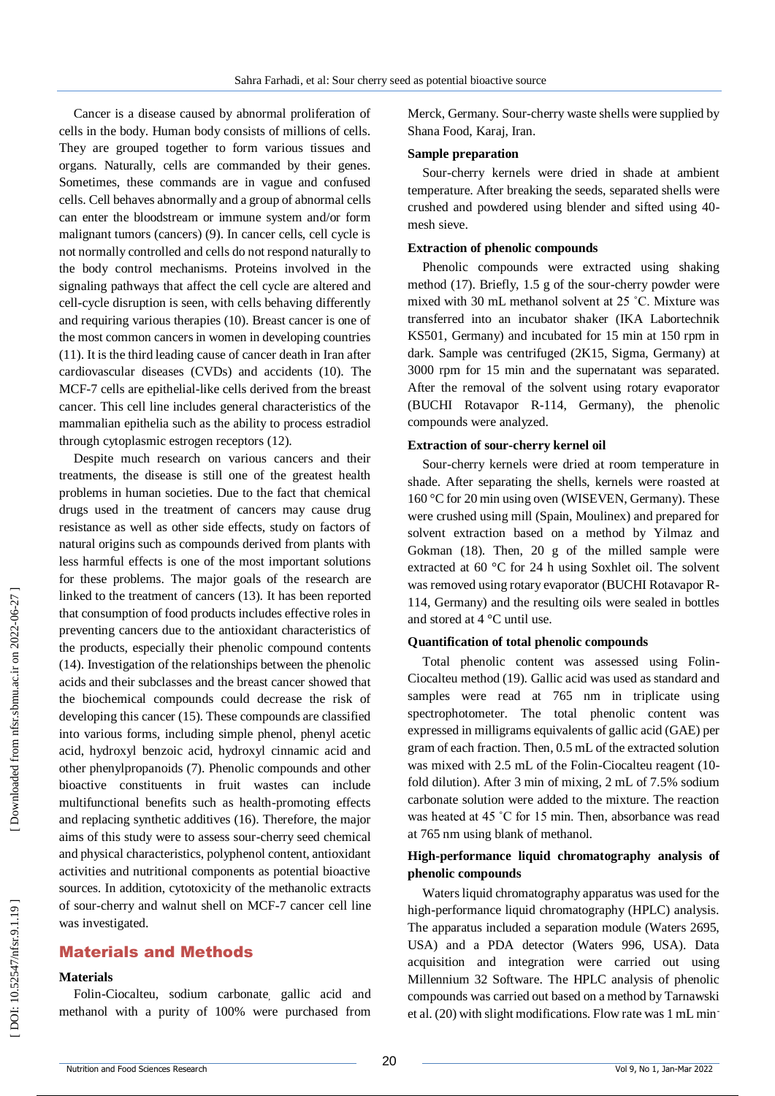Cancer is a disease caused by abnormal proliferation of cells in the body. Human body consists of millions of cells. They are grouped together to form various tissues and organs. Naturally, cells are commanded by their genes. Sometimes, these commands are in vague and confused cells. Cell behaves abnormally and a group of abnormal cells can enter the bloodstream or immune system and/or form malignant tumors (cancers) (9). In cancer cells, cell cycle is not normally controlled and cells do not respond naturally to the body control mechanisms. Proteins involved in the signaling pathways that affect the cell cycle are altered and cell -cycle disruption is seen, with cells behaving differently and requiring various therapies (10). Breast cancer is one of the most common cancers in women in developing countries (11). It is the third leading cause of cancer death in Iran after cardiovascular diseases (CVDs) and accidents (10). The MCF -7 cells are epithelial -like cells derived from the breast cancer. This cell line includes general characteristics of the mammalian epithelia such as the ability to process estradiol through cytoplasmic estrogen receptors (12).

Despite much research on various cancers and their treatments, the disease is still one of the greatest health problems in human societies. Due to the fact that chemical drugs used in the treatment of cancers may cause drug resistance as well as other side effects, study on factors of natural origins such as compounds derived from plants with less harmful effects is one of the most important solutions for these problems. The major goals of the research are linked to the treatment of cancers (13). It has been reported that consumption of food products includes effective roles in preventing cancers due to the antioxidant characteristics of the products, especially their phenolic compound contents (14) . Investigation of the relationships between the phenolic acids and their subclasses and the breast cancer showed that the biochemical compounds could decrease the risk of developing this cancer (15). These compounds are classified into various forms, including simple phenol, phenyl acetic acid, hydroxyl benzoic acid, hydroxyl cinnamic acid and other phenylpropanoids (7). Phenolic compounds and other bioactive constituents in fruit wastes can include multifunctional benefits such as health -promoting effects and replacing synthetic additives (16). Therefore, the major aims of this study were to assess sour -cherry seed chemical and physical characteristics, polyphenol content, antioxidant activities and nutritional components as potential bioactive sources . In addition, cytotoxicity of the methanolic extracts of sour -cherry and walnut shell on MCF -7 cancer cell line was investigated.

# Material s and Methods

#### **Materials**

Folin -Ciocalteu, sodium carbonate , gallic acid and methanol with a purity of 100% were purchased from

Merck, Germany. Sour -cherry waste shells were supplied by Shana Food, Karaj, Iran.

#### **Sample preparation**

Sour -cherry kernels were dried in shade at ambient temperature. After breaking the seeds, separated shells were crushed and powdered using blender and sifted using 40 mesh sieve.

#### **Extraction of phenolic compounds**

Phenolic compounds were extracted using shaking method (17). Briefly, 1.5 g of the sour -cherry powder were mixed with 30 mL methanol solvent at 25 ˚C. Mixture was transferred into an incubator shaker (IKA Labortechnik KS501, Germany) and incubated for 15 min at 150 rpm in dark. Sample was centrifuged (2K15, Sigma, Germany) at 3000 rpm for 15 min and the supernatant was separated. After the removal of the solvent using rotary evaporator (BUCHI Rotavapor R -114, Germany), the phenolic compounds were analyzed.

#### **Extraction of sour -cherry kernel oil**

Sour -cherry kernels were dried at room temperature in shade. After separating the shells, kernels were roasted at 160 °C for 20 min using oven (WISEVEN, Germany). These were crushed using mill (Spain, Moulinex) and prepared for solvent extraction based on a method by Yilmaz and Gokman (18). Then, 20 g of the milled sample were extracted at 60 °C for 24 h using Soxhlet oil. The solvent was removed using rotary evaporator (BUCHI Rotavapor R - 114, Germany) and the resulting oils were sealed in bottles and stored at 4 °C until use.

#### **Quantification of total phenolic compounds**

Total phenolic content was assessed using Folin - Ciocalteu method (19). Gallic acid was used as standard and samples were read at 765 nm in triplicate using spectrophotometer. The total phenolic content was expressed in milligrams equivalents of gallic acid (GAE) per gram of each fraction. Then, 0.5 mL of the extracted solution was mixed with 2.5 mL of the Folin-Ciocalteu reagent (10fold dilution). After 3 min of mixing, 2 mL of 7.5% sodium carbonate solution were added to the mixture. The reaction was heated at 45 °C for 15 min. Then, absorbance was read at 765 nm using blank of methanol.

## **High -performance liquid chromatography analysis of phenolic compounds**

Waters liquid chromatography apparatus was used for the high -performance liquid chromatography (HPLC) analysis. The apparatus included a separation module (Waters 2695, USA) and a PDA detector (Waters 996, USA). Data acquisition and integration were carried out using Millennium 32 Software. The HPLC analysis of phenolic compounds was carried out based on a method by Tarnawski et al. (20) with slight modifications. Flow rate was 1 mL min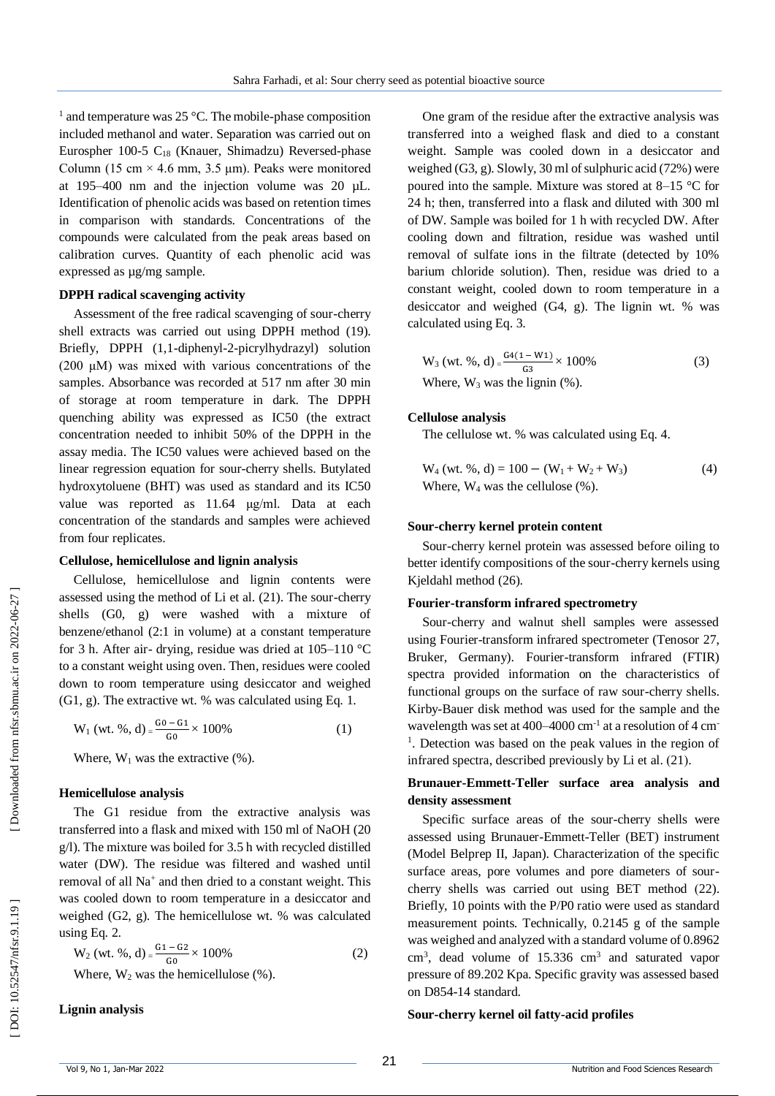<sup>1</sup> and temperature was 25 °C. The mobile-phase composition included methanol and water. Separation was carried out on Eurospher 100-5 C<sub>18</sub> (Knauer, Shimadzu) Reversed-phase Column (15 cm  $\times$  4.6 mm, 3.5 µm). Peaks were monitored at 195 –400 nm and the injection volume was 20 µL. Identification of phenolic acids was based on retention times in comparison with standards. Concentrations of the compounds were calculated from the peak areas based on calibration curves. Quantity of each phenolic acid was expressed as µg/mg sample.

#### **DPPH radical scavenging activity**

Assessment of the free radical scavenging of sour -cherry shell extracts was carried out using DPPH method (19). Briefly, DPPH (1,1 -diphenyl - 2 -picrylhydrazyl) solution (200 μM) was mixed with various concentrations of the samples. Absorbance was recorded at 517 nm after 30 min of storage at room temperature in dark. The DPPH quenching ability was expressed as IC50 (the extract concentration needed to inhibit 50% of the DPPH in the assay media. The IC50 values were achieved based on the linear regression equation for sour -cherry shells. Butylated hydroxytoluene (BHT) was used as standard and its IC50 value was reported as 11.64 μg/ml. Data at each concentration of the standards and samples were achieved from four replicates.

#### **Cellulose, hemicellulose and lignin analysis**

Cellulose, hemicellulose and lignin contents were assessed using the method of Li et al. (21). The sour -cherry shells (G0, g) were washed with a mixture of benzene/ethanol (2:1 in volume) at a constant temperature for 3 h. After air- drying, residue was dried at 105-110 °C to a constant weight using oven. Then, residues were cooled down to room temperature using desiccator and weighed (G1, g). The extractive wt. % was calculated using Eq. 1.

$$
W_1 (wt. %, d) = \frac{G_0 - G_1}{G_0} \times 100\%
$$
 (1)

Where,  $W_1$  was the extractive  $(\%)$ .

#### **Hemicellulose analysis**

The G1 residue from the extractive analysis was transferred into a flask and mixed with 150 ml of NaOH (20 g/l). The mixture was boiled for 3.5 h with recycled distilled water (DW). The residue was filtered and washed until removal of all Na<sup>+</sup> and then dried to a constant weight. This was cooled down to room temperature in a desiccator and weighed (G2, g). The hemicellulose wt. % was calculated using Eq. 2.

$$
W_2 (wt. %, d) = \frac{G_1 - G_2}{G_0} \times 100\%
$$
\nWhere W. was the hemicallyles (2)

Where,  $W_2$  was the hemicellulose  $(\%)$ .

**Lignin analysis**

One gram of the residue after the extractive analysis was transferred into a weighed flask and died to a constant weight. Sample was cooled down in a desiccator and weighed (G3, g). Slowly, 30 ml of sulphuric acid (72%) were poured into the sample. Mixture was stored at 8 –15 °C for 24 h; then, transferred into a flask and diluted with 300 ml of DW. Sample was boiled for 1 h with recycled DW. After cooling down and filtration, residue was washed until removal of sulfate ions in the filtrate (detected by 10% barium chloride solution). Then, residue was dried to a constant weight, cooled down to room temperature in a desiccator and weighed (G4, g). The lignin wt. % was calculated using Eq. 3.

$$
W_3 (wt. %, d) = \frac{G4(1 - W1)}{G3} \times 100\%
$$
  
Where, W<sub>3</sub> was the lignin (%). (3)

## **Cellulose analysis**

The cellulose wt. % was calculated using Eq. 4.

$$
W_4 (wt. %, d) = 100 - (W_1 + W_2 + W_3)
$$
  
Where, W<sub>4</sub> was the cellulose (%). (4)

#### **Sour -cherry kernel protein content**

Sour -cherry kernel protein was assessed before oiling to better identify compositions of the sour -cherry kernels using Kjeldahl method (26).

#### **Fourier -transform infrared spectrometry**

Sour -cherry and walnut shell samples were assessed using Fourier -transform infrared spectrometer (Tenosor 27, Bruker, Germany). Fourier -transform infrared (FTIR) spectra provided information on the characteristics of functional groups on the surface of raw sour-cherry shells. Kirby -Bauer disk method was used for the sample and the wavelength was set at 400–4000 cm<sup>-1</sup> at a resolution of 4 cm<sup>-</sup> <sup>1</sup>. Detection was based on the peak values in the region of infrared spectra, described previously by Li et al. (21).

# **Brunauer -Emmett -Teller surface area analysis and density assessment**

Specific surface areas of the sour -cherry shells were assessed using Brunauer -Emmett -Teller (BET) instrument (Model Belprep II, Japan). Characterization of the specific surface areas, pore volumes and pore diameters of sour cherry shells was carried out using BET method (22). Briefly, 10 points with the P/P0 ratio were used as standard measurement points. Technically, 0.2145 g of the sample was weighed and analyzed with a standard volume of 0.8962 cm 3 , dead volume of 15.336 cm 3 and saturated vapor pressure of 89.202 Kpa. Specific gravity was assessed based on D854 -14 standard.

#### **Sour -cherry kernel oil fatty -acid profiles**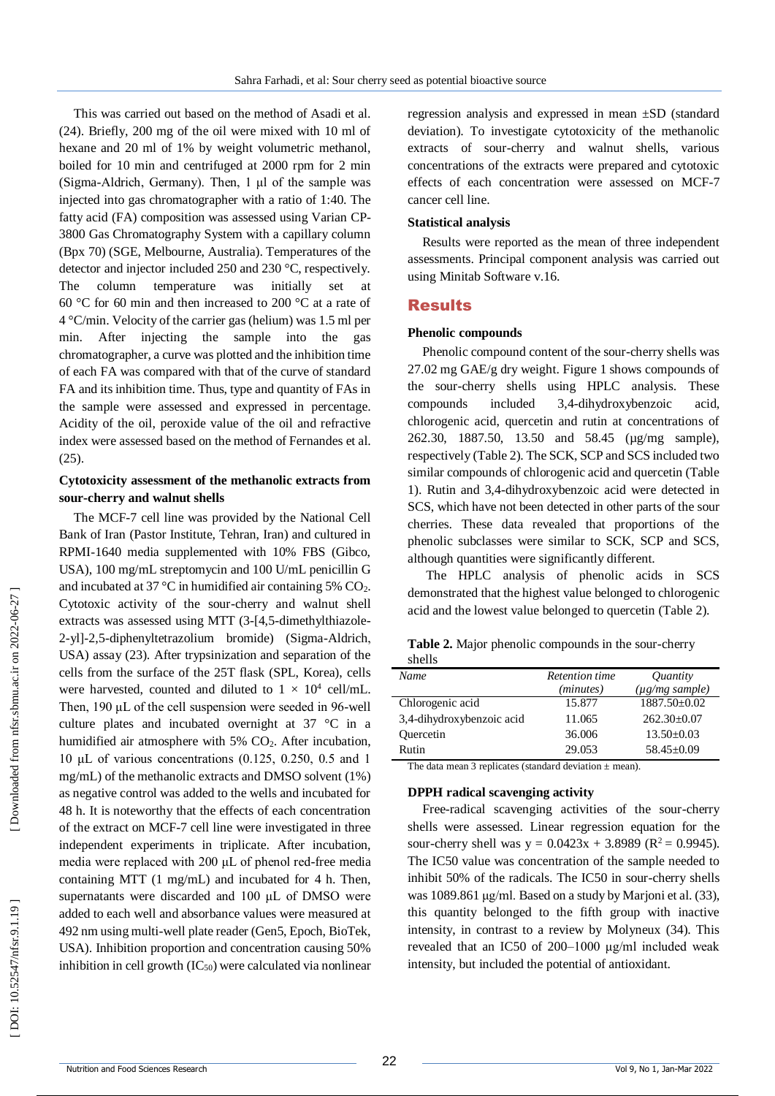This was carried out based on the method of Asadi et al. (24). Briefly, 200 mg of the oil were mixed with 10 ml of hexane and 20 ml of 1% by weight volumetric methanol, boiled for 10 min and centrifuged at 2000 rpm for 2 min (Sigma -Aldrich, Germany). Then, 1 μl of the sample was injected into gas chromatographer with a ratio of 1:40. The fatty acid (FA) composition was assessed using Varian CP-3800 Gas Chromatography System with a capillary column (Bpx 70) (SGE, Melbourne, Australia). Temperatures of the detector and injector included 250 and 230 °C, respectively. The column temperature was initially set at 60 °C for 60 min and then increased to 200 °C at a rate of 4 °C/min. Velocity of the carrier gas (helium) was 1.5 ml per min. After injecting the sample into the gas chromatographer, a curve was plotted and the inhibition time of each FA was compared with that of the curve of standard FA and its inhibition time. Thus, type and quantity of FAs in the sample were assessed and expressed in percentage. Acidity of the oil, peroxide value of the oil and refractive index were assessed based on the method of Fernandes et al. (25).

## **Cytotoxicity assessment of the methanolic extracts from sour -cherry and walnut shells**

The MCF - 7 cell line was provided by the National Cell Bank of Iran (Pastor Institute, Tehran, Iran) and cultured in RPMI -1640 media supplemented with 10% FBS (Gibco, USA), 100 mg/mL streptomycin and 100 U/mL penicillin G and incubated at 37 °C in humidified air containing 5%  $CO<sub>2</sub>$ . Cytotoxic activity of the sour -cherry and walnut shell extracts was assessed using MTT (3-[4,5-dimethylthiazole-2 -yl] -2,5 -diphenyltetrazolium bromide) (Sigma -Aldrich , USA) assay (23). After trypsinization and separation of the cells from the surface of the 25T flask (SPL, Korea), cells were harvested, counted and diluted to  $1 \times 10^4$  cell/mL. Then, 190 μL of the cell suspension were seeded in 96-well culture plates and incubated overnight at 37 °C in a humidified air atmosphere with 5% CO <sup>2</sup>. After incubation, 10 μL of various concentrations (0.125, 0.250, 0.5 and 1 mg/mL) of the methanolic extracts and DMSO solvent (1%) as negative control was added to the wells and incubated for 48 h. It is noteworthy that the effects of each concentration of the extract on MCF - 7 cell line were investigated in three independent experiments in triplicate. After incubation, media were replaced with 200 μL of phenol red-free media containing MTT (1 mg/mL) and incubated for 4 h. Then, supernatants were discarded and 100 μL of DMSO were added to each well and absorbance values were measured at 492 nm using multi -well plate reader (Gen5, Epoch, BioTek, USA). Inhibition proportion and concentration causing 50% inhibition in cell growth  $(IC_{50})$  were calculated via nonlinear

regression analysis and expressed in mean ±SD (standard deviation). To investigate cytotoxicity of the methanolic extracts of sour -cherry and walnut shells, various concentrations of the extracts were prepared and cytotoxic effects of each concentration were assessed on MCF -7 cancer cell line.

#### **Statistical analysis**

Results were reported as the mean of three independent assessments. Principal component analysis was carried out using Minitab Software v.16.

#### Results

#### **Phenolic compounds**

Phenolic compound content of the sour -cherry shells was 27.02 mg GAE/g dry weight. Figure 1 shows compounds of the sour -cherry shells using HPLC analysis. These compounds included 3,4-dihydroxybenzoic acid, chlorogenic acid, quercetin and rutin at concentrations of 262.30, 1887.50, 13.50 and 58.45 (µg/mg sample), respectively (Table 2). The SCK, SCP and SCS included two similar compounds of chlorogenic acid and quercetin (Table 1). Rutin and 3,4 -dihydroxybenzoic acid were detected in SCS, which have not been detected in other parts of the sour cherries. These data revealed that proportions of the phenolic subclasses were similar to SCK, SCP and SCS, although quantities were significantly different.

The HPLC analysis of phenolic acids in SCS demonstrated that the highest value belonged to chlorogenic acid and the lowest value belonged to quercetin (Table 2).

| shells                    |                       |                        |
|---------------------------|-----------------------|------------------------|
| Name                      | <b>Retention time</b> | <i><u>Ouantity</u></i> |
|                           | ( <i>minutes</i> )    | $(\mu g/mg \, sample)$ |
| Chlorogenic acid          | 15.877                | $1887.50 \pm 0.02$     |
| 3,4-dihydroxybenzoic acid | 11.065                | $262.30\pm0.07$        |

Quercetin 36.006 13.50±0.03 Rutin 29.053 58.45±0.09

Table 2. Major phenolic compounds in the sour-cherry shells

The data mean 3 replicates (standard deviation  $\pm$  mean).

#### **DPPH radical scavenging activity**

Free-radical scavenging activities of the sour-cherry shells were assessed. Linear regression equation for the sour-cherry shell was  $y = 0.0423x + 3.8989$  ( $R^2 = 0.9945$ ). The IC50 value was concentration of the sample needed to inhibit 50% of the radicals. The IC50 in sour-cherry shells was 1089.861 μg/ml. Based on a study by Marjoni et al. (33), this quantity belonged to the fifth group with inactive intensity, in contrast to a review by Molyneux (34). This revealed that an IC50 of 200 –1000 μg/ml included weak intensity, but included the potential of antioxidant.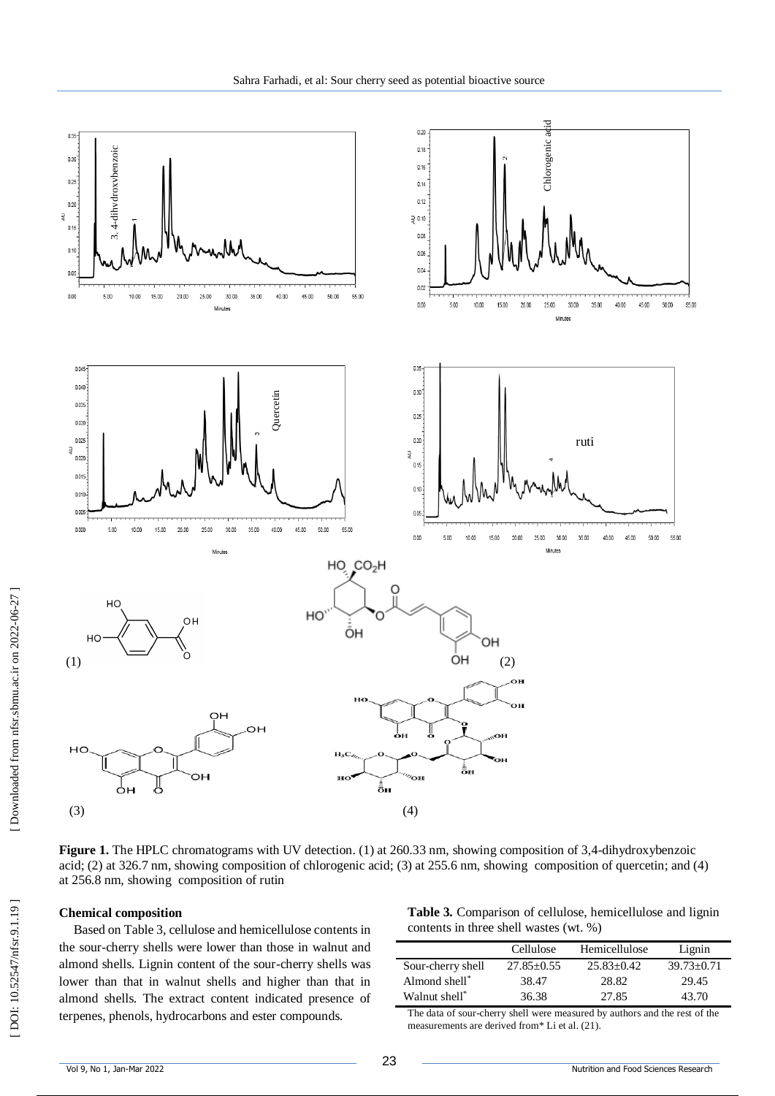

Figure 1. The HPLC chromatograms with UV detection. (1) at 260.33 nm, showing composition of 3,4-dihydroxybenzoic acid ; (2) at 326.7 nm, showing composition of chlorogenic acid; (3) at 255.6 nm, showing composition of quercetin; and (4) at 256.8 nm, showing composition of rutin

#### **Chemical composition**

Based on Table 3, cellulose and hemicellulose contents in the sour -cherry shells were lower than those in walnut and almond shells. Lignin content of the sour -cherry shells was lower than that in walnut shells and higher than that in almond shells. The extract content indicated presence of terpenes, phenols, hydrocarbons and ester compounds.

**Table 3.** Comparison of cellulose, hemicellulose and lignin contents in three shell wastes (wt. %)

|                   | Cellulose      | Hemicellulose | Lignin           |
|-------------------|----------------|---------------|------------------|
| Sour-cherry shell | $27.85 + 0.55$ | $25.83+0.42$  | $39.73 \pm 0.71$ |
| Almond shell*     | 38.47          | 28.82         | 29.45            |
| Walnut shell*     | 36.38          | 27.85         | 43.70            |

The data of sour -cherry shell were measured by authors and the rest of the measurements are derived from\* Li et al. (21).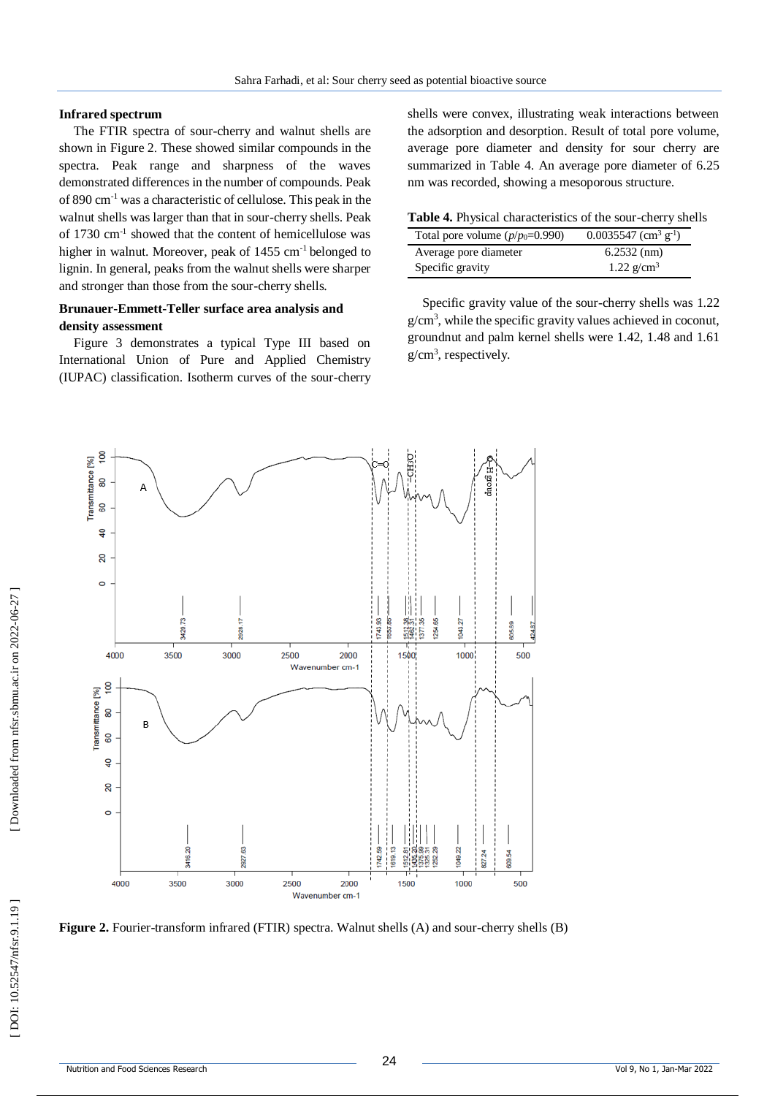### **Infrared spectrum**

The FTIR spectra of sour -cherry and walnut shells are shown in Figure 2 . These showed similar compounds in the spectra. Peak range and sharpness of the waves demonstrated differences in the number of compounds. Peak of 890 cm - <sup>1</sup> was a characteristic of cellulose. This peak in the walnut shells was larger than that in sour -cherry shells. Peak of 1730 cm - 1 showed that the content of hemicellulose was higher in walnut. Moreover, peak of 1455 cm<sup>-1</sup> belonged to lignin. In general, peaks from the walnut shells were sharper and stronger than those from the sour -cherry shells.

# **Brunauer -Emmett -Teller surface area analysis and density assessment**

Figure 3 demonstrates a typical Type III based on International Union of Pure and Applied Chemistry (IUPAC) classification. Isotherm curves of the sour -cherry shells were convex, illustrating weak interactions between the adsorption and desorption. Result of total pore volume, average pore diameter and density for sour cherry are summarized in Table 4. An average pore diameter of 6.25 nm was recorded, showing a mesoporous structure.

Table 4. Physical characteristics of the sour-cherry shells

| Total pore volume $(p/p_0=0.990)$ | $0.0035547$ (cm <sup>3</sup> g <sup>-1</sup> ) |
|-----------------------------------|------------------------------------------------|
| Average pore diameter             | $6.2532$ (nm)                                  |
| Specific gravity                  | 1.22 $g/cm^3$                                  |

Specific gravity value of the sour -cherry shells was 1.22 g/cm 3 , while the specific gravity values achieved in coconut, groundnut and palm kernel shells were 1.42, 1.48 and 1.61 g/cm 3 , respectively.



Figure 2. Fourier-transform infrared (FTIR) spectra. Walnut shells (A) and sour-cherry shells (B)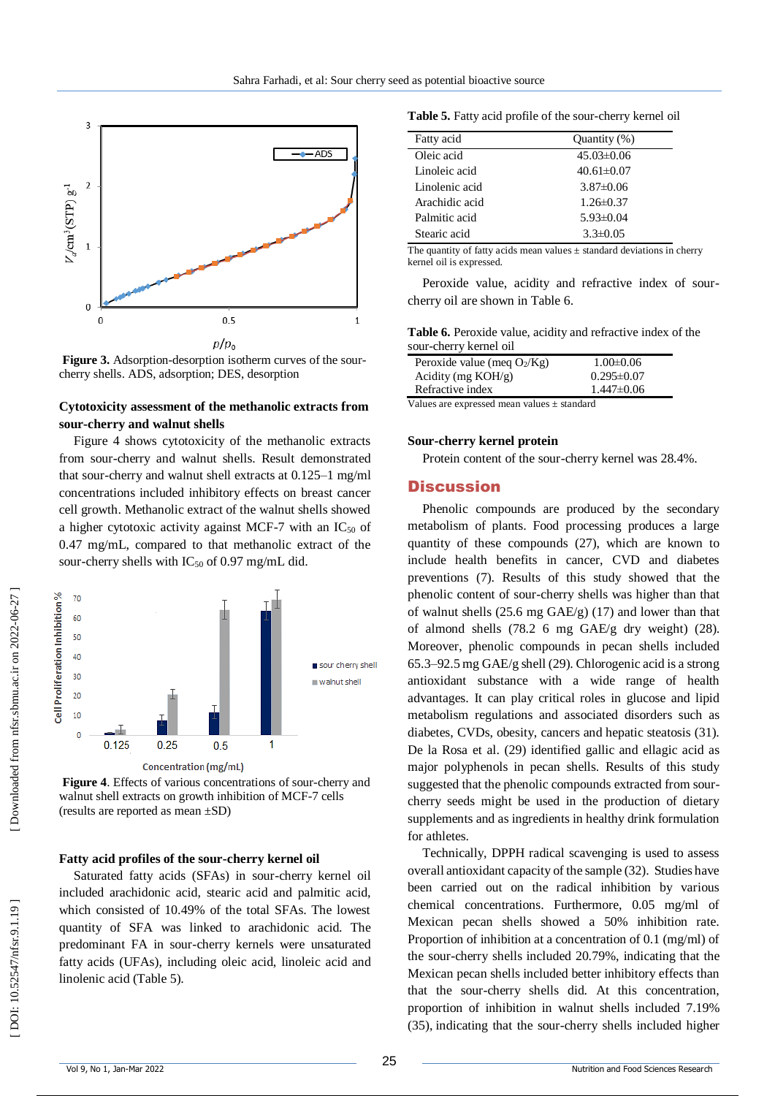

Figure 3. Adsorption-desorption isotherm curves of the sourcherry shells. ADS, adsorption; DES, desorption

## **Cytotoxicity assessment of the methanolic extracts from sour -cherry and walnut shells**

Figure 4 shows cytotoxicity of the methanolic extracts from sour -cherry and walnut shells. Result demonstrated that sour -cherry and walnut shell extracts at 0.125 –1 mg/ml concentrations included inhibitory effects on breast cancer cell growth. Methanolic extract of the walnut shells showed a higher cytotoxic activity against MCF-7 with an  $IC_{50}$  of 0.47 mg/mL, compared to that methanolic extract of the sour-cherry shells with IC<sub>50</sub> of 0.97 mg/mL did.



Figure 4. Effects of various concentrations of sour-cherry and walnut shell extracts on growth inhibition of MCF -7 cells (results are reported as mean ±SD)

#### **Fatty acid profiles of the sour -cherry kernel oil**

Saturated fatty acids (SFAs) in sour -cherry kernel oil included arachidonic acid, stearic acid and palmitic acid, which consisted of 10.49% of the total SFAs. The lowest quantity of SFA was linked to arachidonic acid. The predominant FA in sour -cherry kernels were unsaturated fatty acids (UFAs), including oleic acid, linoleic acid and linolenic acid (Table 5).

Table 5. Fatty acid profile of the sour-cherry kernel oil

| Fatty acid     | Quantity (%)     |
|----------------|------------------|
| Oleic acid     | $45.03\pm0.06$   |
| Linoleic acid  | $40.61 \pm 0.07$ |
| Linolenic acid | $3.87\pm0.06$    |
| Arachidic acid | $1.26 \pm 0.37$  |
| Palmitic acid  | $5.93\pm0.04$    |
| Stearic acid   | $3.3 \pm 0.05$   |

The quantity of fatty acids mean values  $\pm$  standard deviations in cherry kernel oil is expressed.

Peroxide value, acidity and refractive index of sour cherry oil are shown in Table 6.

**Table 6.** Peroxide value, acidity and refractive index of the sour -cherry kernel oil

| Peroxide value (meg $O_2/Kg$ ) |  |  | $1.00 \pm 0.06$  |
|--------------------------------|--|--|------------------|
| Acidity (mg $KOH/g$ )          |  |  | $0.295 \pm 0.07$ |
| Refractive index               |  |  | $1.447\pm0.06$   |
| <b>TT 1</b>                    |  |  |                  |

Values are expressed mean values ± standard

#### **Sour -cherry kernel protein**

Protein content of the sour -cherry kernel was 28.4%.

### **Discussion**

Phenolic compounds are produced by the secondary metabolism of plants. Food processing produces a large quantity of these compounds (27), which are known to include health benefits in cancer, CVD and diabetes preventions (7). Results of this study showed that the phenolic content of sour -cherry shells was higher than that of walnut shells (25.6 mg GAE/g) (17) and lower than that of almond shells (78.2 6 mg GAE/g dry weight) (28). Moreover, phenolic compounds in pecan shells included 65.3 –92.5 mg GAE/g shell (29). Chlorogenic acid is a strong antioxidant substance with a wide range of health advantages. It can play critical roles in glucose and lipid metabolism regulations and associated disorders such as diabetes, CVDs, obesity, cancers and hepatic steatosis (31). De la Rosa et al. (29) identified gallic and ellagic acid as major polyphenols in pecan shells. Results of this study suggested that the phenolic compounds extracted from sour cherry seeds might be used in the production of dietary supplements and as ingredients in healthy drink formulation for athletes.

Technically, DPPH radical scavenging is used to assess overall antioxidant capacity of the sample (32). Studies have been carried out on the radical inhibition by various chemical concentrations. Furthermore, 0.05 mg/ml of Mexican pecan shells showed a 50% inhibition rate. Proportion of inhibition at a concentration of 0.1 (mg/ml) of the sour -cherry shells included 20.79%, indicating that the Mexican pecan shells included better inhibitory effects than that the sour -cherry shells did. At this concentration, proportion of inhibition in walnut shells included 7.19% (35), indicating that the sour -cherry shells included higher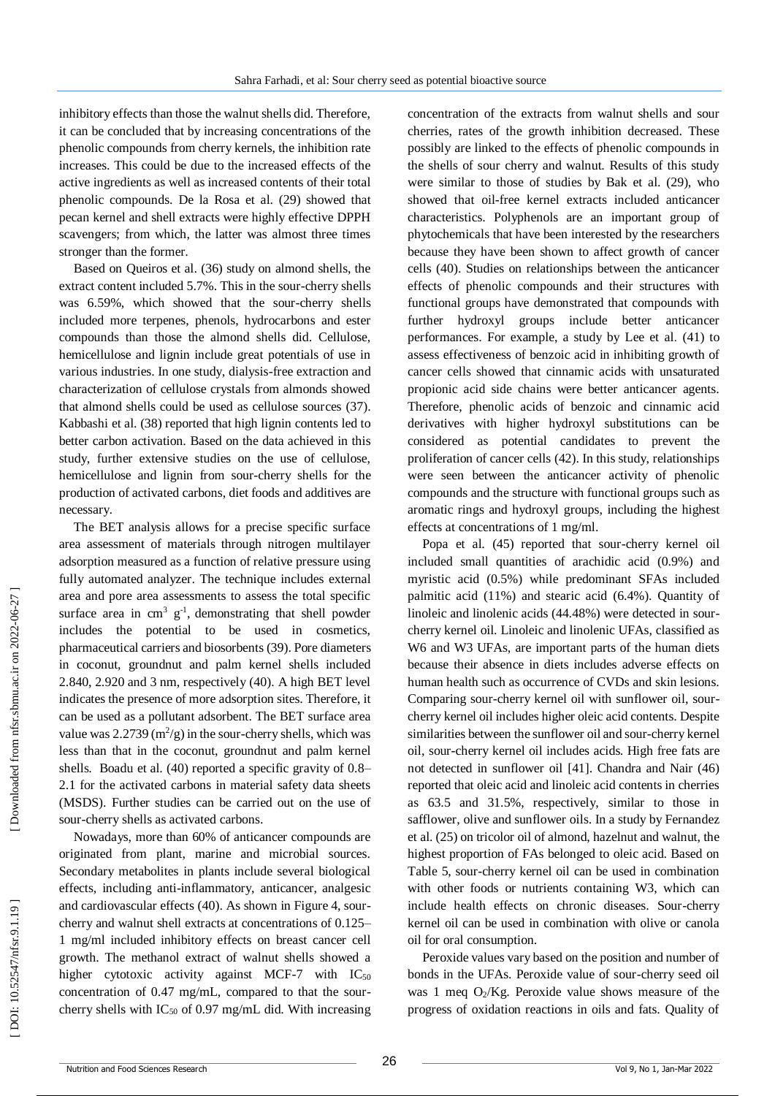inhibitory effects than those the walnut shells did. Therefore, it can be concluded that by increasing concentrations of the phenolic compounds from cherry kernels, the inhibition rate increases. This could be due to the increased effects of the active ingredients as well as increased contents of their total phenolic compounds. De la Rosa et al. (29) showed that pecan kernel and shell extracts were highly effective DPPH scavengers; from which, the latter was almost three times stronger than the former.

Based on Queiros et al. (36) study on almond shells, the extract content included 5.7%. This in the sour-cherry shells was 6.59%, which showed that the sour -cherry shells included more terpenes, phenols, hydrocarbons and ester compounds than those the almond shells did. Cellulose, hemicellulose and lignin include great potentials of use in various industries. In one study, dialysis -free extraction and characterization of cellulose crystals from almonds showed that almond shells could be used as cellulose sources (37). Kabbashi et al. (38) reported that high lignin contents led to better carbon activation. Based on the data achieved in this study, further extensive studies on the use of cellulose, hemicellulose and lignin from sour -cherry shells for the production of activated carbons, diet foods and additives are necessary.

The BET analysis allows for a precise specific surface area assessment of materials through nitrogen multilayer adsorption measured as a function of relative pressure using fully automated analyzer. The technique includes external area and pore area assessments to assess the total specific surface area in  $\text{cm}^3$   $\text{g}^{-1}$ , demonstrating that shell powder includes the potential to be used in cosmetics, pharmaceutical carriers and biosorbents (39). Pore diameters in coconut, groundnut and palm kernel shells included 2.840, 2.920 and 3 nm, respectively (40). A high BET level indicates the presence of more adsorption sites. Therefore, it can be used as a pollutant adsorbent. The BET surface area value was  $2.2739 \text{ (m}^2\text{/g)}$  in the sour-cherry shells, which was less than that in the coconut, groundnut and palm kernel shells. Boadu et al. (40) reported a specific gravity of 0.8 – 2.1 for the activated carbons in material safety data sheets (MSDS). Further studies can be carried out on the use of sour -cherry shells as activated carbons.

Nowadays, more than 60% of anticancer compounds are originated from plant, marine and microbial sources. Secondary metabolites in plants include several biological effects, including anti -inflammatory, anticancer, analgesic and cardiovascular effects (40). As shown in Figure 4, sour cherry and walnut shell extracts at concentrations of 0.125 – 1 mg/ml included inhibitory effects on breast cancer cell growth. The methanol extract of walnut shells showed a higher cytotoxic activity against MCF-7 with  $IC_{50}$ concentration of 0.47 mg/mL, compared to that the sour cherry shells with  $IC_{50}$  of 0.97 mg/mL did. With increasing

concentration of the extracts from walnut shells and sour cherries, rates of the growth inhibition decreased. These possibly are linked to the effects of phenolic compounds in the shells of sour cherry and walnut. Results of this study were similar to those of studies by Bak et al. (29), who showed that oil -free kernel extracts included anticancer characteristics. Polyphenols are an important group of phytochemicals that have been interested by the researchers because they have been shown to affect growth of cancer cells (40). Studies on relationships between the anticancer effects of phenolic compounds and their structures with functional groups have demonstrated that compounds with further hydroxyl groups include better anticancer performances. For example, a study by Lee et al . (41) to assess effectiveness of benzoic acid in inhibiting growth of cancer cells showed that cinnamic acids with unsaturated propionic acid side chains were better anticancer agents. Therefore, phenolic acids of benzoic and cinnamic acid derivatives with higher hydroxyl substitutions can be considered as potential candidates to prevent the proliferation of cancer cells (42). In this study, relationships were seen between the anticancer activity of phenolic compounds and the structure with functional groups such as aromatic rings and hydroxyl groups, including the highest effects at concentrations of 1 mg/ml.

Popa et al. (45) reported that sour -cherry kernel oil included small quantities of arachidic acid (0.9%) and myristic acid (0.5%) while predominant SFAs included palmitic acid (11%) and stearic acid (6.4%). Quantity of linoleic and linolenic acids (44.48%) were detected in sour cherry kernel oil. Linoleic and linolenic UFAs, classified as W6 and W3 UFAs, are important parts of the human diets because their absence in diets includes adverse effects on human health such as occurrence of CVDs and skin lesions. Comparing sour -cherry kernel oil with sunflower oil, sour cherry kernel oil includes higher oleic acid contents. Despite similarities between the sunflower oil and sour -cherry kernel oil, sour -cherry kernel oil includes acids. High free fats are not detected in sunflower oil [41]. Chandra and Nair (46) reported that oleic acid and linoleic acid contents in cherries as 63.5 and 31.5%, respectively, similar to those in safflower, olive and sunflower oils. In a study by Fernandez et al. (25) on tricolor oil of almond, hazelnut and walnut, the highest proportion of FAs belonged to oleic acid. Based on Table 5, sour -cherry kernel oil can be used in combination with other foods or nutrients containing W3, which can include health effects on chronic diseases. Sour -cherry kernel oil can be used in combination with olive or canola oil for oral consumption.

Peroxide values vary based on the position and number of bonds in the UFAs. Peroxide value of sour -cherry seed oil was 1 meq O <sup>2</sup>/Kg. Peroxide value shows measure of the progress of oxidation reactions in oils and fats. Quality of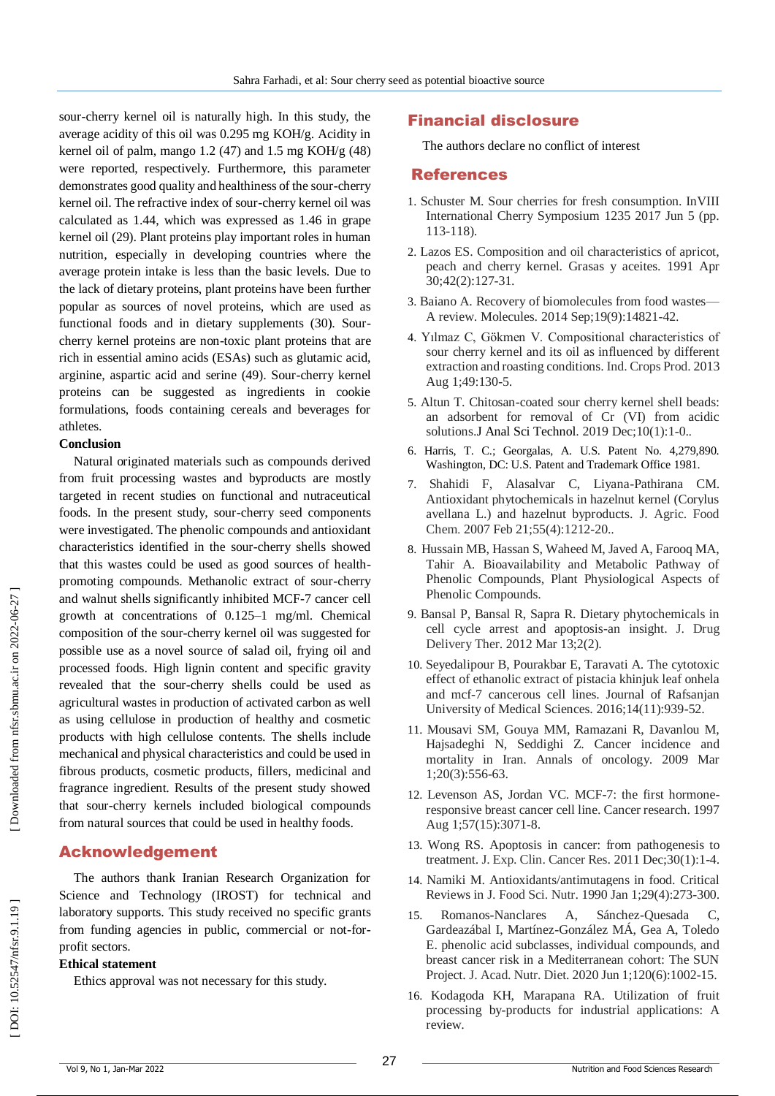sour -cherry kernel oil is naturally high. In this study, the average acidity of this oil was 0.295 mg KOH/g. Acidity in kernel oil of palm, mango  $1.2$  (47) and  $1.5$  mg KOH/g (48) were reported, respectively. Furthermore, this parameter demonstrates good quality and healthiness of the sour -cherry kernel oil. The refractive index of sour -cherry kernel oil was calculated as 1.44, which was expressed as 1.46 in grape kernel oil (29). Plant proteins play important roles in human nutrition, especially in developing countries where the average protein intake is less than the basic levels. Due to the lack of dietary proteins, plant proteins have been further popular as sources of novel proteins, which are used as functional foods and in dietary supplements (30). Sour cherry kernel proteins are non -toxic plant proteins that are rich in essential amino acids (ESAs) such as glutamic acid, arginine, aspartic acid and serine (49). Sour -cherry kernel proteins can be suggested as ingredients in cookie formulations, foods containing cereals and beverages for athletes.

#### **Conclusion**

Natural originated materials such as compounds derived from fruit processing wastes and byproducts are mostly targeted in recent studies on functional and nutraceutical foods. In the present study, sour -cherry seed components were investigated. The phenolic compounds and antioxidant characteristics identified in the sour -cherry shells showed that this wastes could be used as good sources of health promoting compounds. Methanolic extract of sour -cherry and walnut shells significantly inhibited MCF -7 cancer cell growth at concentrations of 0.125 –1 mg/ml. Chemical composition of the sour -cherry kernel oil was suggested for possible use as a novel source of salad oil, frying oil and processed foods. High lignin content and specific gravity revealed that the sour -cherry shells could be used as agricultural wastes in production of activated carbon as well as using cellulose in production of healthy and cosmetic products with high cellulose contents. The shells include mechanical and physical characteristics and could be used in fibrous products, cosmetic products, fillers, medicinal and fragrance ingredient. Results of the present study showed that sour -cherry kernels included biological compounds from natural sources that could be used in healthy foods.

# Acknowledgement

The authors thank Iranian Research Organization for Science and Technology (IROST) for technical and laboratory supports. This study received no specific grants from funding agencies in public, commercial or not-forprofit sectors.

#### **Ethical statement**

Ethics approval was not necessary for this study.

# Financial disclosure

The authors declare no conflict of interest

# References

- 1. Schuster M. Sour cherries for fresh consumption. InVIII International Cherry Symposium 1235 2017 Jun 5 (pp. 113 -118).
- 2. Lazos ES. Composition and oil characteristics of apricot, peach and cherry kernel. Grasas y aceites. 1991 Apr 30;42(2):127 -31.
- 3. Baiano A. Recovery of biomolecules from food wastes A review. Molecules. 2014 Sep;19(9):14821 -42 .
- 4. Yılmaz C, Gökmen V. Compositional characteristics of sour cherry kernel and its oil as influenced by different extraction and roasting conditions. Ind. Crops Prod. 2013 Aug 1;49:130 -5.
- 5. Altun T. Chitosan -coated sour cherry kernel shell beads: an adsorbent for removal of Cr (VI) from acidic solutions.J Anal Sci Technol. 2019 Dec;10(1):1-0..
- 6. Harris, T. C.; Georgalas, A. U.S. Patent No. 4,279,890. Washington, DC: U.S. Patent and Trademark Office 1981.
- 7. Shahidi F, Alasalvar C, Liyana -Pathirana CM. Antioxidant phytochemicals in hazelnut kernel (Corylus avellana L.) and hazelnut byproducts. J. Agric. Food Chem. 2007 Feb 21;55(4):1212-20..
- 8. Hussain MB, Hassan S, Waheed M, Javed A, Farooq MA, Tahir A. Bioavailability and Metabolic Pathway of Phenolic Compounds, Plant Physiological Aspects of Phenolic Compounds.
- 9. Bansal P, Bansal R, Sapra R. Dietary phytochemicals in cell cycle arrest and apoptosis -an insight. J. Drug Delivery Ther. 2012 Mar 13;2(2).
- 10. Seyedalipour B, Pourakbar E, Taravati A. The cytotoxic effect of ethanolic extract of pistacia khinjuk leaf onhela and mcf-7 cancerous cell lines. Journal of Rafsanjan University of Medical Sciences. 2016;14(11):939 -52.
- 11. Mousavi SM, Gouya MM, Ramazani R, Davanlou M, Hajsadeghi N, Seddighi Z. Cancer incidence and mortality in Iran. Annals of oncology. 2009 Mar 1;20(3):556 -63.
- 12. Levenson AS, Jordan VC. MCF-7: the first hormoneresponsive breast cancer cell line. Cancer research. 1997 Aug 1;57(15):3071 -8.
- 13. Wong RS. Apoptosis in cancer: from pathogenesis to treatment. J. Exp. Clin. Cancer Res. 2011 Dec;30(1):1 -4.
- 14. Namiki M. Antioxidants/antimutagens in food. Critical Reviews in J. Food Sci. Nutr. 1990 Jan 1;29(4):273 -300.
- 15. Romanos -Nanclares A, Sánchez Sánchez-Quesada C, Gardeazábal I, Martínez -González MÁ, Gea A, Toledo E. phenolic acid subclasses, individual compounds, and breast cancer risk in a Mediterranean cohort: The SUN Project. J. Acad. Nutr. Diet. 2020 Jun 1;120(6):1002 -15.
- 16. Kodagoda KH, Marapana RA. Utilization of fruit processing by -products for industrial applications: A review.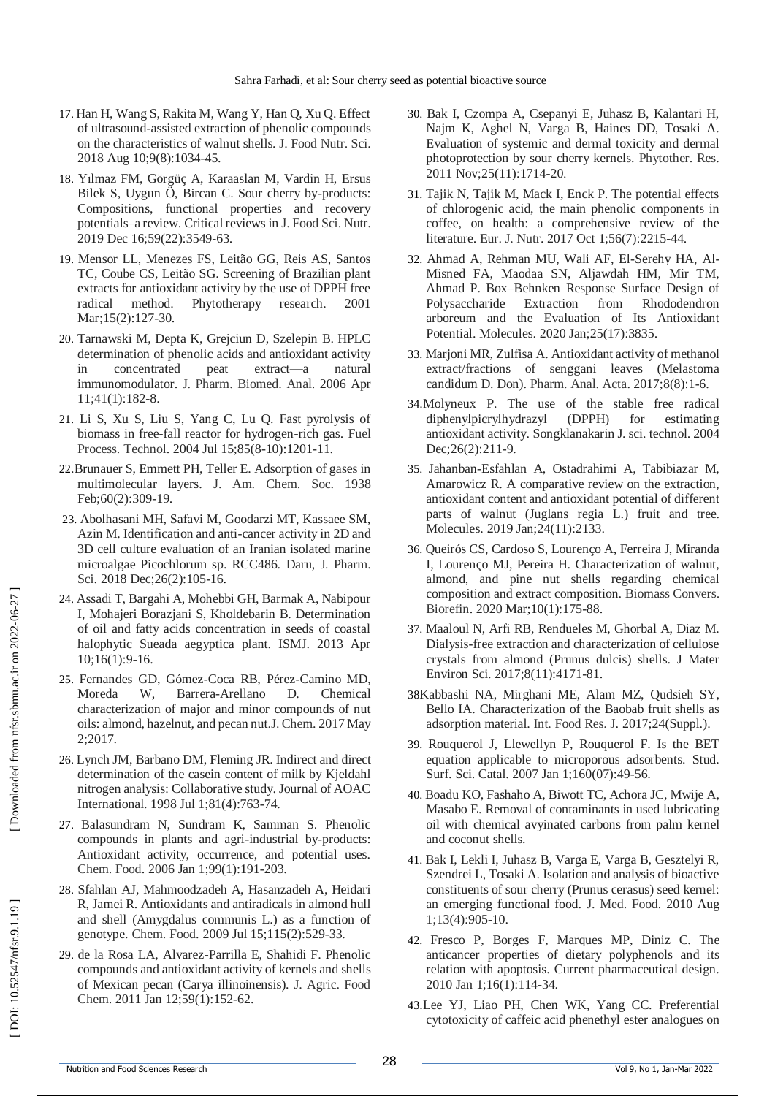- 17. Han H, Wang S, Rakita M, Wang Y, Han Q, Xu Q. Effect of ultrasound -assisted extraction of phenolic compounds on the characteristics of walnut shells. J. Food Nutr. Sci. 2018 Aug 10;9(8):1034 -45.
- 18. Yılmaz FM, Görgüç A, Karaaslan M, Vardin H, Ersus Bilek S, Uygun Ö, Bircan C. Sour cherry by -products: Compositions, functional properties and recovery potentials –a review. Critical reviews in J. Food Sci. Nutr. 2019 Dec 16;59(22):3549 -63.
- 19. Mensor LL, Menezes FS, Leitão GG, Reis AS, Santos TC, Coube CS, Leitão SG. Screening of Brazilian plant extracts for antioxidant activity by the use of DPPH free radical method. Phytotherapy research. 2001 Mar;15(2):127-30.
- 20. Tarnawski M, Depta K, Grejciun D, Szelepin B. HPLC determination of phenolic acids and antioxidant activity in concentrated peat extract —a natural immunomodulator. J. Pharm. Biomed. Anal. 2006 Apr 11;41(1):182 -8.
- 21. Li S, Xu S, Liu S, Yang C, Lu Q. Fast pyrolysis of biomass in free -fall reactor for hydrogen -rich gas. Fuel Process. Technol. 2004 Jul 15;85(8 -10):1201 -11.
- 22 .Brunauer S, Emmett PH, Teller E. Adsorption of gases in multimolecular layers. J. Am. Chem. Soc. 1938 Feb;60(2):309-19.
- 23. Abolhasani MH, Safavi M, Goodarzi MT, Kassaee SM, Azin M. Identification and anti -cancer activity in 2D and 3D cell culture evaluation of an Iranian isolated marine microalgae Picochlorum sp. RCC486. Daru, J. Pharm. Sci. 2018 Dec; 26(2): 105-16.
- 24. Assadi T, Bargahi A, Mohebbi GH, Barmak A, Nabipour I, Mohajeri Borazjani S, Kholdebarin B. Determination of oil and fatty acids concentration in seeds of coastal halophytic Sueada aegyptica plant. ISMJ. 2013 Apr 10;16(1):9 -16.
- 25. Fernandes GD, Gómez -Coca RB, Pérez -Camino MD, Moreda W, Barrera-Arellano D. Chemical characterization of major and minor compounds of nut oils: almond, hazelnut, and pecan nut.J. Chem. 2017 May 2;2017.
- 26. Lynch JM, Barbano DM, Fleming JR. Indirect and direct determination of the casein content of milk by Kjeldahl nitrogen analysis: Collaborative study. Journal of AOAC International. 1998 Jul 1;81(4):763 -74.
- 27. Balasundram N, Sundram K, Samman S. Phenolic compounds in plants and agri -industrial by -products: Antioxidant activity, occurrence, and potential uses. Chem. Food. 2006 Jan 1;99(1):191 -203.
- 28. Sfahlan AJ, Mahmoodzadeh A, Hasanzadeh A, Heidari R, Jamei R. Antioxidants and antiradicals in almond hull and shell (Amygdalus communis L.) as a function of genotype. Chem. Food. 2009 Jul 15;115(2):529 -33.
- 29. de la Rosa LA, Alvarez -Parrilla E, Shahidi F. Phenolic compounds and antioxidant activity of kernels and shells of Mexican pecan (Carya illinoinensis). J. Agric. Food Chem. 2011 Jan 12;59(1):152 -62.
- 30. Bak I, Czompa A, Csepanyi E, Juhasz B, Kalantari H, Najm K, Aghel N, Varga B, Haines DD, Tosaki A. Evaluation of systemic and dermal toxicity and dermal photoprotection by sour cherry kernels. Phytother. Res. 2011 Nov;25(11):1714 -20 .
- 31. Tajik N, Tajik M, Mack I, Enck P. The potential effects of chlorogenic acid, the main phenolic components in coffee, on health: a comprehensive review of the literature. Eur. J. Nutr. 2017 Oct 1;56(7):2215 -44.
- 32. Ahmad A, Rehman MU, Wali AF, El -Serehy HA, Al Misned FA, Maodaa SN, Aljawdah HM, Mir TM, Ahmad P. Box –Behnken Response Surface Design of Polysaccharide Extraction from Rhododendron arboreum and the Evaluation of Its Antioxidant Potential. Molecules. 2020 Jan;25(17):3835.
- 33. Marjoni MR, Zulfisa A. Antioxidant activity of methanol extract/fractions of senggani leaves (Melastoma candidum D. Don). Pharm. Anal. Acta. 2017;8(8):1 -6.
- 34 .Molyneux P. The use of the stable free radical diphenylpicrylhydrazyl (DPPH) for estimating antioxidant activity. Songklanakarin J. sci. technol. 2004 Dec; 26(2): 211-9.
- 35. Jahanban -Esfahlan A, Ostadrahimi A, Tabibiazar M, Amarowicz R. A comparative review on the extraction, antioxidant content and antioxidant potential of different parts of walnut (Juglans regia L.) fruit and tree. Molecules. 2019 Jan;24(11):2133.
- 36. Queirós CS, Cardoso S, Lourenço A, Ferreira J, Miranda I, Lourenço MJ, Pereira H. Characterization of walnut, almond, and pine nut shells regarding chemical composition and extract composition. Biomass Convers. Biorefin. 2020 Mar;10(1):175 -88.
- 37. Maaloul N, Arfi RB, Rendueles M, Ghorbal A, Diaz M. Dialysis -free extraction and characterization of cellulose crystals from almond (Prunus dulcis) shells. J Mater Environ Sci. 2017;8(11):4171 -81.
- 38Kabbashi NA, Mirghani ME, Alam MZ, Qudsieh SY, Bello IA. Characterization of the Baobab fruit shells as adsorption material. Int. Food Res. J. 2017;24(Suppl.).
- 39. Rouquerol J, Llewellyn P, Rouquerol F. Is the BET equation applicable to microporous adsorbents. Stud. Surf. Sci. Catal. 2007 Jan 1;160(07):49-56.
- 40. Boadu KO, Fashaho A, Biwott TC, Achora JC, Mwije A, Masabo E. Removal of contaminants in used lubricating oil with chemical avyinated carbons from palm kernel and coconut shells .
- 41. Bak I, Lekli I, Juhasz B, Varga E, Varga B, Gesztelyi R, Szendrei L, Tosaki A. Isolation and analysis of bioactive constituents of sour cherry (Prunus cerasus) seed kernel: an emerging functional food. J. Med. Food. 2010 Aug 1;13(4):905 -10.
- 42. Fresco P, Borges F, Marques MP, Diniz C. The anticancer properties of dietary polyphenols and its relation with apoptosis. Current pharmaceutical design. 2010 Jan 1;16(1):114 -34.
- 43.Lee YJ, Liao PH, Chen WK, Yang CC. Preferential cytotoxicity of caffeic acid phenethyl ester analogues on